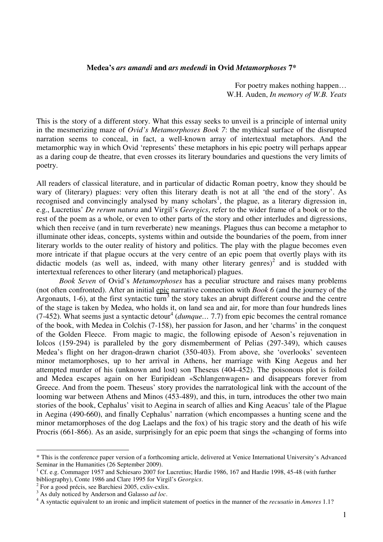## **Medea's** *ars amandi* **and** *ars medendi* **in Ovid** *Metamorphoses* **7\***

For poetry makes nothing happen… W.H. Auden, *In memory of W.B. Yeats* 

This is the story of a different story. What this essay seeks to unveil is a principle of internal unity in the mesmerizing maze of *Ovid's Metamorphoses Book 7*: the mythical surface of the disrupted narration seems to conceal, in fact, a well-known array of intertextual metaphors. And the metamorphic way in which Ovid 'represents' these metaphors in his epic poetry will perhaps appear as a daring coup de theatre, that even crosses its literary boundaries and questions the very limits of poetry.

All readers of classical literature, and in particular of didactic Roman poetry, know they should be wary of (literary) plagues: very often this literary death is not at all 'the end of the story'. As recognised and convincingly analysed by many scholars<sup>1</sup>, the plague, as a literary digression in, e.g., Lucretius' *De rerum natura* and Virgil's *Georgics*, refer to the wider frame of a book or to the rest of the poem as a whole, or even to other parts of the story and other interludes and digressions, which then receive (and in turn reverberate) new meanings. Plagues thus can become a metaphor to illuminate other ideas, concepts, systems within and outside the boundaries of the poem, from inner literary worlds to the outer reality of history and politics. The play with the plague becomes even more intricate if that plague occurs at the very centre of an epic poem that overtly plays with its didactic models (as well as, indeed, with many other literary genres)<sup>2</sup> and is studded with intertextual references to other literary (and metaphorical) plagues.

*Book Seven* of Ovid's *Metamorphoses* has a peculiar structure and raises many problems (not often confronted). After an initial epic narrative connection with *Book 6* (and the journey of the Argonauts, 1-6), at the first syntactic turn<sup>3</sup> the story takes an abrupt different course and the centre of the stage is taken by Medea, who holds it, on land sea and air, for more than four hundreds lines  $(7-452)$ . What seems just a syntactic detour<sup>4</sup> (*dumque*... 7.7) from epic becomes the central romance of the book, with Medea in Colchis (7-158), her passion for Jason, and her 'charms' in the conquest of the Golden Fleece. From magic to magic, the following episode of Aeson's rejuvenation in Iolcos (159-294) is paralleled by the gory dismemberment of Pelias (297-349), which causes Medea's flight on her dragon-drawn chariot (350-403). From above, she 'overlooks' seventeen minor metamorphoses, up to her arrival in Athens, her marriage with King Aegeus and her attempted murder of his (unknown and lost) son Theseus (404-452). The poisonous plot is foiled and Medea escapes again on her Euripidean «Schlangenwagen» and disappears forever from Greece. And from the poem. Theseus' story provides the narratological link with the account of the looming war between Athens and Minos (453-489), and this, in turn, introduces the other two main stories of the book, Cephalus' visit to Aegina in search of allies and King Aeacus' tale of the Plague in Aegina (490-660), and finally Cephalus' narration (which encompasses a hunting scene and the minor metamorphoses of the dog Laelaps and the fox) of his tragic story and the death of his wife Procris (661-866). As an aside, surprisingly for an epic poem that sings the «changing of forms into

<sup>\*</sup> This is the conference paper version of a forthcoming article, delivered at Venice International University's Advanced Seminar in the Humanities (26 September 2009).

<sup>1</sup> Cf. e.g. Commager 1957 and Schiesaro 2007 for Lucretius; Hardie 1986, 167 and Hardie 1998, 45-48 (with further bibliography), Conte 1986 and Clare 1995 for Virgil's *Georgics*.

<sup>&</sup>lt;sup>2</sup> For a good précis, see Barchiesi 2005, cxliv-cxlix.

<sup>3</sup> As duly noticed by Anderson and Galasso *ad loc*.

<sup>4</sup> A syntactic equivalent to an ironic and implicit statement of poetics in the manner of the *recusatio* in *Amores* 1.1?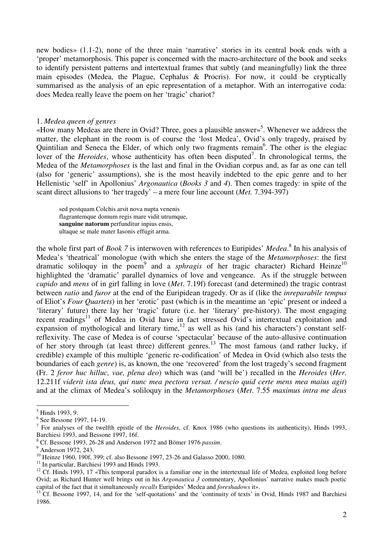new bodies» (1.1-2), none of the three main 'narrative' stories in its central book ends with a 'proper' metamorphosis. This paper is concerned with the macro-architecture of the book and seeks to identify persistent patterns and intertextual frames that subtly (and meaningfully) link the three main episodes (Medea, the Plague, Cephalus & Procris). For now, it could be cryptically summarised as the analysis of an epic representation of a metaphor. With an interrogative coda: does Medea really leave the poem on her 'tragic' chariot?

#### 1. *Medea queen of genres*

«How many Medeas are there in Ovid? Three, goes a plausible answer»<sup>5</sup>. Whenever we address the matter, the elephant in the room is of course the 'lost Medea', Ovid's only tragedy, praised by Quintilian and Seneca the Elder, of which only two fragments remain<sup>6</sup>. The other is the elegiac lover of the *Heroides*, whose authenticity has often been disputed<sup>7</sup>. In chronological terms, the Medea of the *Metamorphoses* is the last and final in the Ovidian corpus and, as far as one can tell (also for 'generic' assumptions), she is the most heavily indebted to the epic genre and to her Hellenistic 'self' in Apollonius' *Argonautica* (*Books 3* and *4*). Then comes tragedy: in spite of the scant direct allusions to 'her tragedy' – a mere four line account (*Met.* 7.394-397)

sed postquam Colchis arsit nova nupta venenis flagrantemque domum regis mare vidit utrumque, **sanguine natorum** perfunditur inpius ensis, ultaque se male mater Iasonis effugit arma.

the whole first part of *Book 7* is interwoven with references to Euripides' *Medea*. 8 In his analysis of Medea's 'theatrical' monologue (with which she enters the stage of the *Metamorphoses*: the first dramatic soliloquy in the poem<sup>9</sup> and a *sphragis* of her tragic character) Richard Heinze<sup>10</sup> highlighted the 'dramatic' parallel dynamics of love and vengeance. As if the struggle between *cupido* and *mens* of in girl falling in love (*Met*. 7.19f) forecast (and determined) the tragic contrast between *ratio* and *furor* at the end of the Euripidean tragedy. Or as if (like the *inreparabile tempus* of Eliot's *Four Quartets*) in her 'erotic' past (which is in the meantime an 'epic' present or indeed a 'literary' future) there lay her 'tragic' future (i.e. her 'literary' pre-history). The most engaging recent readings<sup>11</sup> of Medea in Ovid have in fact stressed Ovid's intertextual exploitation and expansion of mythological and literary time,  $12$  as well as his (and his characters') constant selfreflexivity. The case of Medea is of course 'spectacular' because of the auto-allusive continuation of her story through (at least three) different genres.<sup>13</sup> The most famous (and rather lucky, if credible) example of this multiple 'generic re-codification' of Medea in Ovid (which also tests the boundaries of each *genre*) is, as known, the one 'recovered' from the lost tragedy's second fragment (Fr. 2 *feror huc hilluc, vae, plena deo*) which was (and 'will be') recalled in the *Heroides* (*Her.* 12.211f *viderit ista deus, qui nunc mea pectora versat. / nescio quid certe mens mea maius agit*) and at the climax of Medea's soliloquy in the *Metamorphoses* (*Met*. 7.55 *maximus intra me deus* 

 5 Hinds 1993, 9.

<sup>6</sup> See Bessone 1997, 14-19.

<sup>7</sup> For analyses of the twelfth epistle of the *Heroides*, cf. Knox 1986 (who questions its authenticity), Hinds 1993, Barchiesi 1993, and Bessone 1997, 16f.

<sup>8</sup> Cf. Bessone 1993, 26-28 and Anderson 1972 and Bömer 1976 *passim*.

<sup>&</sup>lt;sup>9</sup> Anderson 1972, 243.

<sup>&</sup>lt;sup>10</sup> Heinze 1960, 190f, 399; cf. also Bessone 1997, 23-26 and Galasso 2000, 1080.

<sup>&</sup>lt;sup>11</sup> In particular, Barchiesi 1993 and Hinds 1993.

 $12$  Cf. Hinds 1993, 17 «This temporal paradox is a familiar one in the intertextual life of Medea, exploited long before Ovid; as Richard Hunter well brings out in his *Argonautica 3* commentary, Apollonius' narrative makes much poetic capital of the fact that it simultaneously *recalls* Euripides' Medea and *foreshadows* it».

<sup>&</sup>lt;sup>13</sup> Cf. Bessone 1997, 14, and for the 'self-quotations' and the 'continuity of texts' in Ovid, Hinds 1987 and Barchiesi 1986.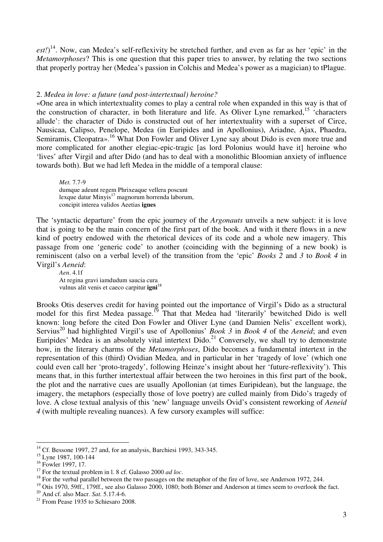est!)<sup>14</sup>. Now, can Medea's self-reflexivity be stretched further, and even as far as her 'epic' in the *Metamorphoses*? This is one question that this paper tries to answer, by relating the two sections that properly portray her (Medea's passion in Colchis and Medea's power as a magician) to tPlague.

# 2. *Medea in love: a future (and post-intertextual) heroine?*

«One area in which intertextuality comes to play a central role when expanded in this way is that of the construction of character, in both literature and life. As Oliver Lyne remarked,<sup>15</sup> 'characters' allude': the character of Dido is constructed out of her intertextuality with a superset of Circe, Nausicaa, Calipso, Penelope, Medea (in Euripides and in Apollonius), Ariadne, Ajax, Phaedra, Semiramis, Cleopatra».<sup>16</sup> What Don Fowler and Oliver Lyne say about Dido is even more true and more complicated for another elegiac-epic-tragic [as lord Polonius would have it] heroine who 'lives' after Virgil and after Dido (and has to deal with a monolithic Bloomian anxiety of influence towards both). But we had left Medea in the middle of a temporal clause:

*Met.* 7.7-9 dumque adeunt regem Phrixeaque vellera poscunt lexque datur Minyis<sup>17</sup> magnorum horrenda laborum, concipit interea validos Aeetias **ignes** 

The 'syntactic departure' from the epic journey of the *Argonauts* unveils a new subject: it is love that is going to be the main concern of the first part of the book. And with it there flows in a new kind of poetry endowed with the rhetorical devices of its code and a whole new imagery. This passage from one 'generic code' to another (coinciding with the beginning of a new book) is reminiscent (also on a verbal level) of the transition from the 'epic' *Books 2* and *3* to *Book 4* in Virgil's *Aeneid*:

*Aen*. 4.1f At regina gravi iamdudum saucia cura vulnus alit venis et caeco carpitur **igni**<sup>18</sup>

Brooks Otis deserves credit for having pointed out the importance of Virgil's Dido as a structural model for this first Medea passage.<sup>19</sup> That that Medea had 'literarily' bewitched Dido is well known: long before the cited Don Fowler and Oliver Lyne (and Damien Nelis' excellent work), Servius<sup>20</sup> had highlighted Virgil's use of Apollonius' *Book 3* in *Book 4* of the *Aeneid*; and even Euripides' Medea is an absolutely vital intertext  $Dido.<sup>21</sup>$  Conversely, we shall try to demonstrate how, in the literary charms of the *Metamorphoses*, Dido becomes a fundamental intertext in the representation of this (third) Ovidian Medea, and in particular in her 'tragedy of love' (which one could even call her 'proto-tragedy', following Heinze's insight about her 'future-reflexivity'). This means that, in this further intertextual affair between the two heroines in this first part of the book, the plot and the narrative cues are usually Apollonian (at times Euripidean), but the language, the imagery, the metaphors (especially those of love poetry) are culled mainly from Dido's tragedy of love. A close textual analysis of this 'new' language unveils Ovid's consistent reworking of *Aeneid 4* (with multiple revealing nuances). A few cursory examples will suffice:

<sup>&</sup>lt;sup>14</sup> Cf. Bessone 1997, 27 and, for an analysis, Barchiesi 1993, 343-345.

<sup>&</sup>lt;sup>15</sup> Lyne 1987, 100-144

<sup>&</sup>lt;sup>16</sup> Fowler 1997, 17.

<sup>17</sup> For the textual problem in l. 8 cf. Galasso 2000 *ad loc*.

<sup>&</sup>lt;sup>18</sup> For the verbal parallel between the two passages on the metaphor of the fire of love, see Anderson 1972, 244.

<sup>&</sup>lt;sup>19</sup> Otis 1970, 59ff., 179ff., see also Galasso 2000, 1080; both Bömer and Anderson at times seem to overlook the fact.

<sup>20</sup> And cf. also Macr. *Sat.* 5.17.4-6.

<sup>&</sup>lt;sup>21</sup> From Pease 1935 to Schiesaro 2008.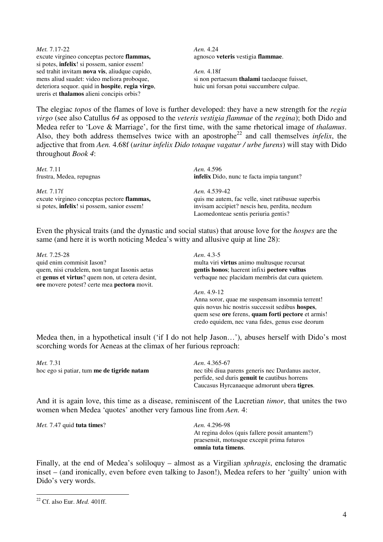*Met.* 7.17-22 excute virgineo conceptas pectore **flammas,** si potes, **infelix**! si possem, sanior essem! sed trahit invitam **nova vis**, aliudque cupido, mens aliud suadet: video meliora proboque, deteriora sequor. quid in **hospite**, **regia virgo**, ureris et **thalamos** alieni concipis orbis?

*Aen.* 4.24 agnosco **veteris** vestigia **flammae**.

*Aen.* 4.18f si non pertaesum **thalami** taedaeque fuisset, huic uni forsan potui succumbere culpae.

The elegiac *topos* of the flames of love is further developed: they have a new strength for the *regia virgo* (see also Catullus *64* as opposed to the *veteris vestigia flammae* of the *regina*); both Dido and Medea refer to 'Love & Marriage', for the first time, with the same rhetorical image of *thalamus*. Also, they both address themselves twice with an apostrophe<sup>22</sup> and call themselves *infelix*, the adjective that from *Aen.* 4.68f (*uritur infelix Dido totaque vagatur / urbe furens*) will stay with Dido throughout *Book 4*:

*Met.* 7.11 frustra, Medea, repugnas *Met.* 7.17f excute virgineo conceptas pectore **flammas,** si potes, **infelix**! si possem, sanior essem! *Aen.* 4.596 **infelix** Dido, nunc te facta impia tangunt? *Aen.* 4.539-42 quis me autem, fac velle, sinet ratibusue superbis invisam accipiet? nescis heu, perdita, necdum Laomedonteae sentis periuria gentis?

Even the physical traits (and the dynastic and social status) that arouse love for the *hospes* are the same (and here it is worth noticing Medea's witty and allusive quip at line 28):

*Met.* 7.25-28 quid enim commisit Iason? quem, nisi crudelem, non tangat Iasonis aetas et **genus et virtus**? quem non, ut cetera desint, **ore** movere potest? certe mea **pectora** movit.

*Aen*. 4.3-5 multa viri **virtus** animo multusque recursat **gentis honos**; haerent infixi **pectore vultus** verbaque nec placidam membris dat cura quietem.

*Aen*. 4.9-12 Anna soror, quae me suspensam insomnia terrent! quis novus hic nostris successit sedibus **hospes**, quem sese **ore** ferens, **quam forti pectore** et armis! credo equidem, nec vana fides, genus esse deorum

Medea then, in a hypothetical insult ('if I do not help Jason…'), abuses herself with Dido's most scorching words for Aeneas at the climax of her furious reproach:

| Met. 7.31                                         | Aen. 4.365-67                                        |
|---------------------------------------------------|------------------------------------------------------|
| hoc ego si patiar, tum <b>me de tigride natam</b> | nec tibi diua parens generis nec Dardanus auctor,    |
|                                                   | perfide, sed duris <b>genuit te</b> cautibus horrens |
|                                                   | Caucasus Hyrcanaeque admorunt ubera tigres.          |
|                                                   |                                                      |

And it is again love, this time as a disease, reminiscent of the Lucretian *timor*, that unites the two women when Medea 'quotes' another very famous line from *Aen.* 4:

*Met.* 7.47 quid **tuta times**? *Aen.* 4.296-98

At regina dolos (quis fallere possit amantem?) praesensit, motusque excepit prima futuros **omnia tuta timens**.

Finally, at the end of Medea's soliloquy – almost as a Virgilian *sphragis*, enclosing the dramatic inset – (and ironically, even before even talking to Jason!), Medea refers to her 'guilty' union with Dido's very words.

<sup>22</sup> Cf. also Eur. *Med.* 401ff.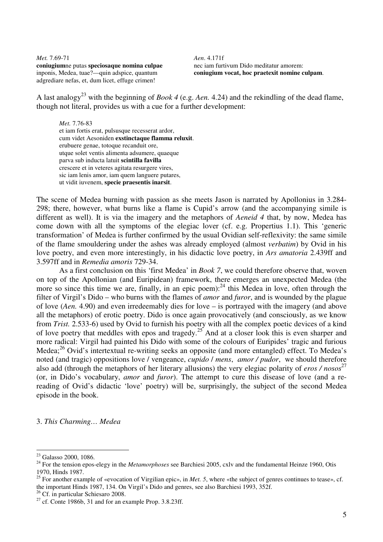*Met.* 7.69-71 **coniugium**ne putas **speciosaque nomina culpae** inponis, Medea, tuae?—quin adspice, quantum adgrediare nefas, et, dum licet, effuge crimen!

*Aen*. 4.171f nec iam furtivum Dido meditatur amorem: **coniugium vocat, hoc praetexit nomine culpam**.

A last analogy<sup>23</sup> with the beginning of *Book 4* (e.g. *Aen.* 4.24) and the rekindling of the dead flame, though not literal, provides us with a cue for a further development:

*Met.* 7.76-83 et iam fortis erat, pulsusque recesserat ardor, cum videt Aesoniden **exstinctaque flamma reluxit**. erubuere genae, totoque recanduit ore, utque solet ventis alimenta adsumere, quaeque parva sub inducta latuit **scintilla favilla** crescere et in veteres agitata resurgere vires, sic iam lenis amor, iam quem languere putares, ut vidit iuvenem, **specie praesentis inarsit**.

The scene of Medea burning with passion as she meets Jason is narrated by Apollonius in 3.284- 298; there, however, what burns like a flame is Cupid's arrow (and the accompanying simile is different as well). It is via the imagery and the metaphors of *Aeneid 4* that, by now, Medea has come down with all the symptoms of the elegiac lover (cf. e.g. Propertius 1.1). This 'generic transformation' of Medea is further confirmed by the usual Ovidian self-reflexivity: the same simile of the flame smouldering under the ashes was already employed (almost *verbatim*) by Ovid in his love poetry, and even more interestingly, in his didactic love poetry, in *Ars amatoria* 2.439ff and 3.597ff and in *Remedia amoris* 729-34.

 As a first conclusion on this 'first Medea' in *Book 7*, we could therefore observe that, woven on top of the Apollonian (and Euripidean) framework, there emerges an unexpected Medea (the more so since this time we are, finally, in an epic poem): $^{24}$  this Medea in love, often through the filter of Virgil's Dido – who burns with the flames of *amor* and *furor*, and is wounded by the plague of love (*Aen.* 4.90) and even irredeemably dies for love – is portrayed with the imagery (and above all the metaphors) of erotic poetry. Dido is once again provocatively (and consciously, as we know from *Trist.* 2.533-6) used by Ovid to furnish his poetry with all the complex poetic devices of a kind of love poetry that meddles with epos and tragedy.<sup>25</sup> And at a closer look this is even sharper and more radical: Virgil had painted his Dido with some of the colours of Euripides' tragic and furious Medea;<sup>26</sup> Ovid's intertextual re-writing seeks an opposite (and more entangled) effect. To Medea's noted (and tragic) oppositions love / vengeance, *cupido* / *mens*, *amor / pudor*, we should therefore also add (through the metaphors of her literary allusions) the very elegiac polarity of *eros* / nosos<sup>27</sup> (or, in Dido's vocabulary, *amor* and *furor*). The attempt to cure this disease of love (and a rereading of Ovid's didactic 'love' poetry) will be, surprisingly, the subject of the second Medea episode in the book.

3. *This Charming… Medea* 

<sup>&</sup>lt;sup>23</sup> Galasso 2000, 1086.

<sup>24</sup> For the tension epos-elegy in the *Metamorphoses* see Barchiesi 2005, cxlv and the fundamental Heinze 1960, Otis 1970, Hinds 1987.

<sup>&</sup>lt;sup>25</sup> For another example of «evocation of Virgilian epic», in *Met.* 5, where «the subject of genres continues to tease», cf. the important Hinds 1987, 134. On Virgil's Dido and genres, see also Barchiesi 1993, 352f.

<sup>&</sup>lt;sup>26</sup> Cf. in particular Schiesaro 2008.

 $27$  cf. Conte 1986b, 31 and for an example Prop. 3.8.23ff.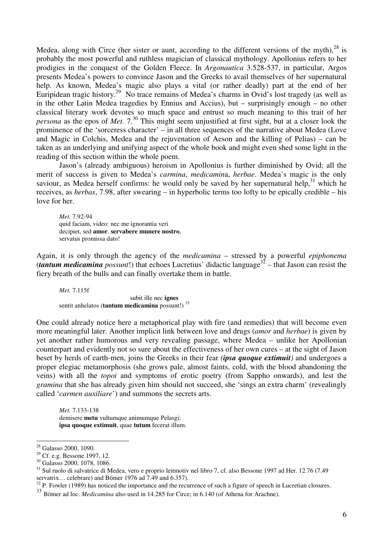Medea, along with Circe (her sister or aunt, according to the different versions of the myth),  $^{28}$  is probably the most powerful and ruthless magician of classical mythology. Apollonius refers to her prodigies in the conquest of the Golden Fleece. In *Argonautica* 3.528-537, in particular, Argos presents Medea's powers to convince Jason and the Greeks to avail themselves of her supernatural help. As known, Medea's magic also plays a vital (or rather deadly) part at the end of her Euripidean tragic history.<sup>29</sup> No trace remains of Medea's charms in Ovid's lost tragedy (as well as in the other Latin Medea tragedies by Ennius and Accius), but – surprisingly enough – no other classical literary work devotes so much space and entrust so much meaning to this trait of her *persona* as the epos of *Met.*  $7^{30}$  This might seem unjustified at first sight, but at a closer look the prominence of the 'sorceress character' – in all three sequences of the narrative about Medea (Love and Magic in Colchis, Medea and the rejuvenation of Aeson and the killing of Pelias) – can be taken as an underlying and unifying aspect of the whole book and might even shed some light in the reading of this section within the whole poem.

Jason's (already ambiguous) heroism in Apollonius is further diminished by Ovid: all the merit of success is given to Medea's *carmina*, *medicamin*a, *herbae*. Medea's magic is the only saviour, as Medea herself confirms: he would only be saved by her supernatural help,  $31$  which he receives, as *herbas*, 7.98, after swearing – in hyperbolic terms too lofty to be epically credible – his love for her.

*Met.* 7.92-94 quid faciam, video: nec me ignorantia veri decipiet, sed **amor**. **servabere munere nostro**, servatus promissa dato!

Again, it is only through the agency of the *medicamina* – stressed by a powerful *epiphonema* (*tantum medicamina possunt*!) that echoes Lucretius' didactic language<sup>32</sup> – that Jason can resist the fiery breath of the bulls and can finally overtake them in battle.

*Met.* 7.115f

 subit ille nec **ignes**  sentit anhelatos (**tantum medicamina** possunt!)<sup>33</sup>

One could already notice here a metaphorical play with fire (and remedies) that will become even more meaningful later. Another implicit link between love and drugs (*amor* and *herbae*) is given by yet another rather humorous and very revealing passage, where Medea – unlike her Apollonian counterpart and evidently not so sure about the effectiveness of her own cures – at the sight of Jason beset by herds of earth-men, joins the Greeks in their fear *(ipsa quoque extimuit)* and undergoes a proper elegiac metamorphosis (she grows pale, almost faints, cold, with the blood abandoning the veins) with all the *topoi* and symptoms of erotic poetry (from Sappho onwards), and lest the *gramina* that she has already given him should not succeed, she 'sings an extra charm' (revealingly called '*carmen auxiliare*') and summons the secrets arts.

*Met.* 7.133-138 demisere **metu** vultumque animumque Pelasgi; **ipsa quoque extimuit**, quae **tutum** fecerat illum.

<sup>&</sup>lt;sup>28</sup> Galasso 2000, 1090.

<sup>29</sup> Cf. e.g. Bessone 1997, 12.

<sup>30</sup> Galasso 2000, 1078, 1086.

<sup>31</sup> Sul ruolo di salvatrice di Medea, vero e proprio leitmotiv nel libro 7, cf. also Bessone 1997 ad Her. 12.76 (7.49 servatrix… celebrare) and Bömer 1976 ad 7.49 and 6.357).

 $32$  P. Fowler (1989) has noticed the importance and the recurrence of such a figure of speech in Lucretian closures.

<sup>33</sup> Bömer ad loc. *Medicamina* also used in 14.285 for Circe; in 6.140 (of Athena for Arachne).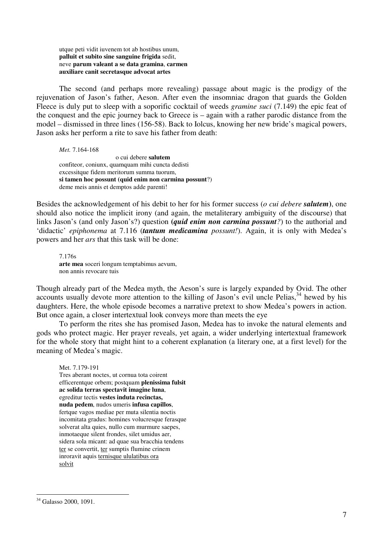utque peti vidit iuvenem tot ab hostibus unum, **palluit et subito sine sanguine frigida** sedit, neve **parum valeant a se data gramina**, **carmen auxiliare canit secretasque advocat artes**

 The second (and perhaps more revealing) passage about magic is the prodigy of the rejuvenation of Jason's father, Aeson. After even the insomniac dragon that guards the Golden Fleece is duly put to sleep with a soporific cocktail of weeds *gramine suci* (7.149) the epic feat of the conquest and the epic journey back to Greece is – again with a rather parodic distance from the model – dismissed in three lines (156-58). Back to Iolcus, knowing her new bride's magical powers, Jason asks her perform a rite to save his father from death:

*Met.* 7.164-168

 o cui debere **salutem** confiteor, coniunx, quamquam mihi cuncta dedisti excessitque fidem meritorum summa tuorum, **si tamen hoc possunt (quid enim non carmina possunt**?) deme meis annis et demptos adde parenti!

Besides the acknowledgement of his debit to her for his former success (*o cui debere salutem***)**, one should also notice the implicit irony (and again, the metaliterary ambiguity of the discourse) that links Jason's (and only Jason's?) question **(***quid enim non carmina possunt?*) to the authorial and 'didactic' *epiphonema* at 7.116 (*tantum medicamina possunt!*). Again, it is only with Medea's powers and her *ars* that this task will be done:

7.176s **arte mea** soceri longum temptabimus aevum, non annis revocare tuis

Though already part of the Medea myth, the Aeson's sure is largely expanded by Ovid. The other accounts usually devote more attention to the killing of Jason's evil uncle Pelias,  $34$  hewed by his daughters. Here, the whole episode becomes a narrative pretext to show Medea's powers in action. But once again, a closer intertextual look conveys more than meets the eye

To perform the rites she has promised Jason, Medea has to invoke the natural elements and gods who protect magic. Her prayer reveals, yet again, a wider underlying intertextual framework for the whole story that might hint to a coherent explanation (a literary one, at a first level) for the meaning of Medea's magic.

Met. 7.179-191

Tres aberant noctes, ut cornua tota coirent efficerentque orbem; postquam **plenissima fulsit ac solida terras spectavit imagine luna**, egreditur tectis **vestes induta recinctas, nuda pedem**, nudos umeris **infusa capillos**, fertque vagos mediae per muta silentia noctis incomitata gradus: homines volucresque ferasque solverat alta quies, nullo cum murmure saepes, inmotaeque silent frondes, silet umidus aer, sidera sola micant: ad quae sua bracchia tendens ter se convertit, ter sumptis flumine crinem inroravit aquis ternisque ululatibus ora solvit

<sup>&</sup>lt;sup>34</sup> Galasso 2000, 1091.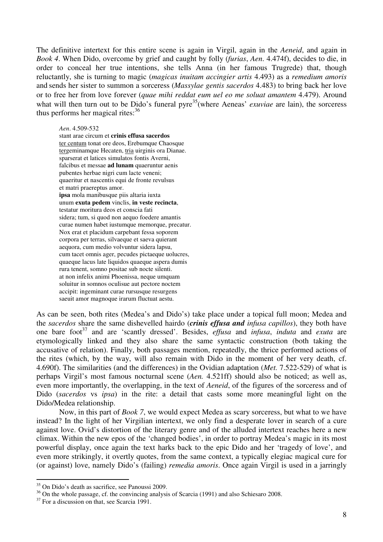The definitive intertext for this entire scene is again in Virgil, again in the *Aeneid*, and again in *Book 4*. When Dido, overcome by grief and caught by folly (*furias*, *Aen*. 4.474f), decides to die, in order to conceal her true intentions, she tells Anna (in her famous Trugrede) that, though reluctantly, she is turning to magic (*magicas inuitam accingier artis* 4.493) as a *remedium amoris* and sends her sister to summon a sorceress (*Massylae gentis sacerdos* 4.483) to bring back her love or to free her from love forever (*quae mihi reddat eum uel eo me soluat amantem* 4.479). Around what will then turn out to be Dido's funeral pyre<sup>35</sup> (where Aeneas' *exuviae* are lain), the sorceress thus performs her magical rites: $36$ 

*Aen*. 4.509-532

stant arae circum et **crinis effusa sacerdos** ter centum tonat ore deos, Erebumque Chaosque tergeminamque Hecaten, tria uirginis ora Dianae. sparserat et latices simulatos fontis Averni, falcibus et messae **ad lunam** quaeruntur aenis pubentes herbae nigri cum lacte veneni; quaeritur et nascentis equi de fronte revulsus et matri praereptus amor. **ipsa** mola manibusque piis altaria iuxta unum **exuta pedem** vinclis, **in veste recincta**, testatur moritura deos et conscia fati sidera; tum, si quod non aequo foedere amantis curae numen habet iustumque memorque, precatur. Nox erat et placidum carpebant fessa soporem corpora per terras, silvaeque et saeva quierant aequora, cum medio volvuntur sidera lapsu, cum tacet omnis ager, pecudes pictaeque uolucres, quaeque lacus late liquidos quaeque aspera dumis rura tenent, somno positae sub nocte silenti. at non infelix animi Phoenissa, neque umquam soluitur in somnos oculisue aut pectore noctem accipit: ingeminant curae rursusque resurgens saeuit amor magnoque irarum fluctuat aestu.

As can be seen, both rites (Medea's and Dido's) take place under a topical full moon; Medea and the *sacerdos* share the same dishevelled hairdo (*crinis effusa and infusa capillos*), they both have one bare foot<sup>37</sup> and are 'scantly dressed'. Besides, *effusa* and *infusa*, *induta* and *exuta* are etymologically linked and they also share the same syntactic construction (both taking the accusative of relation). Finally, both passages mention, repeatedly, the thrice performed actions of the rites (which, by the way, will also remain with Dido in the moment of her very death, cf. 4.690f). The similarities (and the differences) in the Ovidian adaptation (*Met.* 7.522-529) of what is perhaps Virgil's most famous nocturnal scene (*Aen.* 4.521ff) should also be noticed; as well as, even more importantly, the overlapping, in the text of *Aeneid*, of the figures of the sorceress and of Dido (*sacerdos* vs *ipsa*) in the rite: a detail that casts some more meaningful light on the Dido/Medea relationship.

Now, in this part of *Book 7*, we would expect Medea as scary sorceress, but what to we have instead? In the light of her Virgilian intertext, we only find a desperate lover in search of a cure against love. Ovid's distortion of the literary genre and of the alluded intertext reaches here a new climax. Within the new epos of the 'changed bodies', in order to portray Medea's magic in its most powerful display, once again the text harks back to the epic Dido and her 'tragedy of love', and even more strikingly, it overtly quotes, from the same context, a typically elegiac magical cure for (or against) love, namely Dido's (failing) *remedia amoris*. Once again Virgil is used in a jarringly

 $35$  On Dido's death as sacrifice, see Panoussi 2009.

<sup>&</sup>lt;sup>36</sup> On the whole passage, cf. the convincing analysis of Scarcia (1991) and also Schiesaro 2008.

<sup>&</sup>lt;sup>37</sup> For a discussion on that, see Scarcia 1991.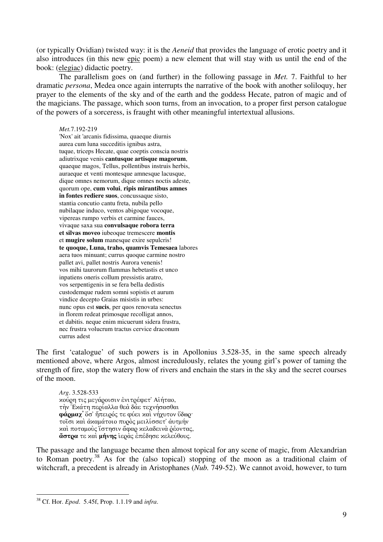(or typically Ovidian) twisted way: it is the *Aeneid* that provides the language of erotic poetry and it also introduces (in this new epic poem) a new element that will stay with us until the end of the book: (elegiac) didactic poetry.

The parallelism goes on (and further) in the following passage in *Met.* 7. Faithful to her dramatic *persona*, Medea once again interrupts the narrative of the book with another soliloquy, her prayer to the elements of the sky and of the earth and the goddess Hecate, patron of magic and of the magicians. The passage, which soon turns, from an invocation, to a proper first person catalogue of the powers of a sorceress, is fraught with other meaningful intertextual allusions.

*Met.*7.192-219

'Nox' ait 'arcanis fidissima, quaeque diurnis aurea cum luna succeditis ignibus astra, tuque, triceps Hecate, quae coeptis conscia nostris adiutrixque venis **cantusque artisque magorum**, quaeque magos, Tellus, pollentibus instruis herbis, auraeque et venti montesque amnesque lacusque, dique omnes nemorum, dique omnes noctis adeste, quorum ope, **cum volui**, **ripis mirantibus amnes in fontes rediere suos**, concussaque sisto, stantia concutio cantu freta, nubila pello nubilaque induco, ventos abigoque vocoque, vipereas rumpo verbis et carmine fauces, vivaque saxa sua **convulsaque robora terra et silvas moveo** iubeoque tremescere **montis**  et **mugire solum** manesque exire sepulcris! **te quoque, Luna, traho, quamvis Temesaea** labores aera tuos minuant; currus quoque carmine nostro pallet avi, pallet nostris Aurora venenis! vos mihi taurorum flammas hebetastis et unco inpatiens oneris collum pressistis aratro, vos serpentigenis in se fera bella dedistis custodemque rudem somni sopistis et aurum vindice decepto Graias misistis in urbes: nunc opus est **sucis**, per quos renovata senectus in florem redeat primosque recolligat annos, et dabitis. neque enim micuerunt sidera frustra, nec frustra volucrum tractus cervice draconum currus adest

The first 'catalogue' of such powers is in Apollonius 3.528-35, in the same speech already mentioned above, where Argos, almost incredulously, relates the young girl's power of taming the strength of fire, stop the watery flow of rivers and enchain the stars in the sky and the secret courses of the moon.

 *Arg*. 3.528-533 κούρη τις μεγάροισιν ένιτρέφετ<sup>'</sup> Αιήταο, την Έκατη περίαλλα θεα δάε τεχνήσασθαι φάρμαχ' όσ' ήπειρός τε φύει και νήχυτον ύδωρ· τοΐσι και ακαμάτοιο πυρος μειλίσσετ' αυτμήν και ποταμούς ίστησιν άφαρ κελαδεινα ρέοντας, dστρα τε και μήνης ιερας επέδησε κελεύθους.

The passage and the language became then almost topical for any scene of magic, from Alexandrian to Roman poetry.<sup>38</sup> As for the (also topical) stopping of the moon as a traditional claim of witchcraft, a precedent is already in Aristophanes (*Nub.* 749-52). We cannot avoid, however, to turn

<sup>38</sup> Cf. Hor. *Epod*. 5.45f, Prop. 1.1.19 and *infra*.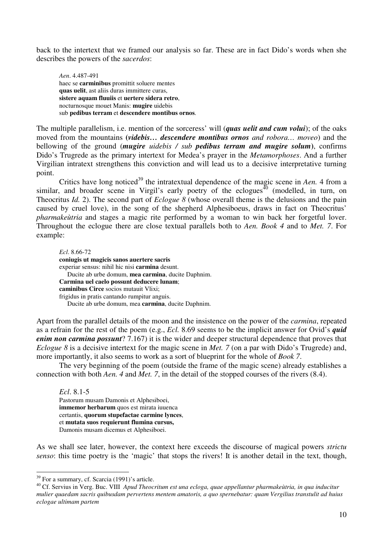back to the intertext that we framed our analysis so far. These are in fact Dido's words when she describes the powers of the *sacerdos*:

*Aen*. 4.487-491 haec se **carminibus** promittit soluere mentes **quas uelit**, ast aliis duras immittere curas, **sistere aquam fluuiis** et **uertere sidera retro**, nocturnosque mouet Manis: **mugire** uidebis sub **pedibus terram** et **descendere montibus ornos**.

The multiple parallelism, i.e. mention of the sorceress' will (*quas uelit and cum volui*); of the oaks moved from the mountains **(***videbis… descendere montibus ornos and robora… moveo*) and the bellowing of the ground (*mugire uidebis / sub pedibus terram and mugire solum***)**, confirms Dido's Trugrede as the primary intertext for Medea's prayer in the *Metamorphoses*. And a further Virgilian intratext strengthens this conviction and will lead us to a decisive interpretative turning point.

Critics have long noticed<sup>39</sup> the intratextual dependence of the magic scene in *Aen*. 4 from a similar, and broader scene in Virgil's early poetry of the eclogues<sup> $\overline{40}$ </sup> (modelled, in turn, on Theocritus *Id.* 2). The second part of *Eclogue 8* (whose overall theme is the delusions and the pain caused by cruel love), in the song of the shepherd Alphesiboeus, draws in fact on Theocritus' *pharmakeùtria* and stages a magic rite performed by a woman to win back her forgetful lover. Throughout the eclogue there are close textual parallels both to *Aen. Book 4* and to *Met. 7*. For example:

*Ecl*. 8.66-72 **coniugis ut magicis sanos auertere sacris** experiar sensus: nihil hic nisi **carmina** desunt. Ducite ab urbe domum, **mea carmina**, ducite Daphnim. **Carmina uel caelo possunt deducere lunam**; **caminibus Circe** socios mutauit Vlixi; frigidus in pratis cantando rumpitur anguis. Ducite ab urbe domum, mea **carmina**, ducite Daphnim.

Apart from the parallel details of the moon and the insistence on the power of the *carmina*, repeated as a refrain for the rest of the poem (e.g., *Ecl.* 8.69 seems to be the implicit answer for Ovid's *quid enim non carmina possunt*? 7.167) it is the wider and deeper structural dependence that proves that *Eclogue 8* is a decisive intertext for the magic scene in *Met.* 7 (on a par with Dido's Trugrede) and, more importantly, it also seems to work as a sort of blueprint for the whole of *Book 7*.

 The very beginning of the poem (outside the frame of the magic scene) already establishes a connection with both *Aen. 4* and *Met. 7*, in the detail of the stopped courses of the rivers (8.4).

*Ecl*. 8.1-5 Pastorum musam Damonis et Alphesiboei, **immemor herbarum** quos est mirata iuuenca certantis, **quorum stupefactae carmine lynces**, et **mutata suos requierunt flumina cursus,** Damonis musam dicemus et Alphesiboei.

As we shall see later, however, the context here exceeds the discourse of magical powers *strictu senso*: this time poetry is the 'magic' that stops the rivers! It is another detail in the text, though,

<sup>&</sup>lt;sup>39</sup> For a summary, cf. Scarcia (1991)'s article.

<sup>40</sup> Cf. Servius in Verg. Buc. VIII *Apud Theocritum est una ecloga, quae appellantur pharmakeùtria, in qua inducitur mulier quaedam sacris quibusdam pervertens mentem amatoris, a quo spernebatur: quam Vergilius transtulit ad huius eclogae ultimam partem*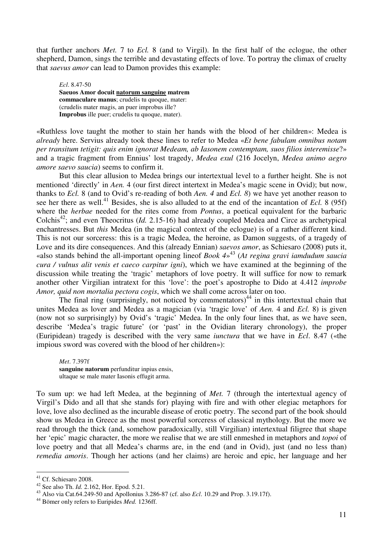that further anchors *Met.* 7 to *Ecl.* 8 (and to Virgil). In the first half of the eclogue, the other shepherd, Damon, sings the terrible and devastating effects of love. To portray the climax of cruelty that *saevus amor* can lead to Damon provides this example:

*Ecl*. 8.47-50 **Saeuos Amor docuit natorum sanguine matrem commaculare manus**; crudelis tu quoque, mater: (crudelis mater magis, an puer improbus ille? **Improbus** ille puer; crudelis tu quoque, mater).

«Ruthless love taught the mother to stain her hands with the blood of her children»: Medea is *already* here. Servius already took these lines to refer to Medea «*Et bene fabulam omnibus notam per transitum tetigit: quis enim ignorat Medeam, ab Iasonem contemptam, suos filios interemisse*?» and a tragic fragment from Ennius' lost tragedy, *Medea exul* (216 Jocelyn, *Medea animo aegro amore saevo saucia*) seems to confirm it.

But this clear allusion to Medea brings our intertextual level to a further height. She is not mentioned 'directly' in *Aen.* 4 (our first direct intertext in Medea's magic scene in Ovid); but now, thanks to *Ecl.* 8 (and to Ovid's re-reading of both *Aen. 4* and *Ecl. 8*) we have yet another reason to see her there as well.<sup>41</sup> Besides, she is also alluded to at the end of the incantation of *Ecl.* 8 (95f) where the *herbae* needed for the rites come from *Pontus*, a poetical equivalent for the barbaric Colchis<sup>42</sup>; and even Theocritus (*Id.* 2.15-16) had already coupled Medea and Circe as archetypical enchantresses. But *this* Medea (in the magical context of the eclogue) is of a rather different kind. This is not our sorceress: this is a tragic Medea, the heroine, as Damon suggests, of a tragedy of Love and its dire consequences. And this (already Ennian) *saevos amor*, as Schiesaro (2008) puts it, «also stands behind the all-important opening lineof *Book 4*» <sup>43</sup> (*At regina gravi iamdudum saucia cura / vulnus alit venis et caeco carpitur igni*), which we have examined at the beginning of the discussion while treating the 'tragic' metaphors of love poetry. It will suffice for now to remark another other Virgilian intratext for this 'love': the poet's apostrophe to Dido at 4.412 *improbe Amor, quid non mortalia pectora cogis*, which we shall come across later on too.

The final ring (surprisingly, not noticed by commentators)<sup>44</sup> in this intertextual chain that unites Medea as lover and Medea as a magician (via 'tragic love' of *Aen.* 4 and *Ecl.* 8) is given (now not so surprisingly) by Ovid's 'tragic' Medea. In the only four lines that, as we have seen, describe 'Medea's tragic future' (or 'past' in the Ovidian literary chronology), the proper (Euripidean) tragedy is described with the very same *iunctura* that we have in *Ecl*. 8.47 («the impious sword was covered with the blood of her children»):

*Met*. 7.397f **sanguine natorum** perfunditur inpius ensis, ultaque se male mater Iasonis effugit arma.

To sum up: we had left Medea, at the beginning of *Met.* 7 (through the intertextual agency of Virgil's Dido and all that she stands for) playing with fire and with other elegiac metaphors for love, love also declined as the incurable disease of erotic poetry. The second part of the book should show us Medea in Greece as the most powerful sorceress of classical mythology. But the more we read through the thick (and, somehow paradoxically, still Virgilian) intertextual filigree that shape her 'epic' magic character, the more we realise that we are still enmeshed in metaphors and *topoi* of love poetry and that all Medea's charms are, in the end (and in Ovid), just (and no less than) *remedia amoris*. Though her actions (and her claims) are heroic and epic, her language and her

<sup>&</sup>lt;sup>41</sup> Cf. Schiesaro 2008.

<sup>42</sup> See also Th. *Id.* 2.162, Hor. Epod. 5.21.

<sup>43</sup> Also via Cat.64.249-50 and Apollonius 3.286-87 (cf. also *Ecl*. 10.29 and Prop. 3.19.17f).

<sup>44</sup> Bömer only refers to Euripides *Med.* 1236ff.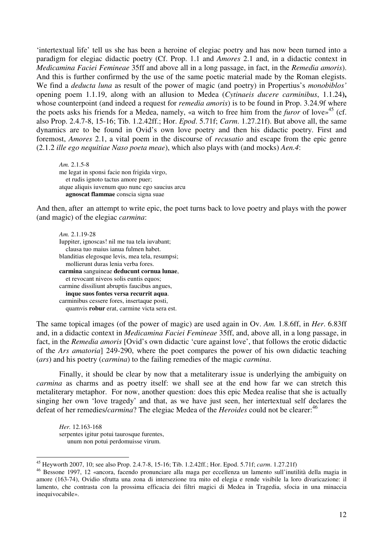'intertextual life' tell us she has been a heroine of elegiac poetry and has now been turned into a paradigm for elegiac didactic poetry (Cf. Prop. 1.1 and *Amores* 2.1 and, in a didactic context in *Medicamina Faciei Femineae* 35ff and above all in a long passage, in fact, in the *Remedia amoris*). And this is further confirmed by the use of the same poetic material made by the Roman elegists. We find a *deducta luna* as result of the power of magic (and poetry) in Propertius's *monobiblos'*  opening poem 1.1.19, along with an allusion to Medea (*Cytinaeis ducere carminibus*, 1.1.24**),**  whose counterpoint (and indeed a request for *remedia amoris*) is to be found in Prop. 3.24.9f where the poets asks his friends for a Medea, namely, «a witch to free him from the *furor* of love»<sup>45</sup> (cf. also Prop. 2.4.7-8, 15-16; Tib. 1.2.42ff.; Hor. *Epod*. 5.71f; *Carm*. 1.27.21f). But above all, the same dynamics are to be found in Ovid's own love poetry and then his didactic poetry. First and foremost, *Amores* 2.1, a vital poem in the discourse of *recusatio* and escape from the epic genre (2.1.2 *ille ego nequitiae Naso poeta meae*), which also plays with (and mocks) *Aen.4*:

*Am.* 2.1.5-8 me legat in sponsi facie non frigida virgo, et rudis ignoto tactus amore puer; atque aliquis iuvenum quo nunc ego saucius arcu **agnoscat flammae** conscia signa suae

And then, after an attempt to write epic, the poet turns back to love poetry and plays with the power (and magic) of the elegiac *carmina*:

*Am.* 2.1.19-28 Iuppiter, ignoscas! nil me tua tela iuvabant; clausa tuo maius ianua fulmen habet. blanditias elegosque levis, mea tela, resumpsi; mollierunt duras lenia verba fores. **carmina** sanguineae **deducunt cornua lunae**, et revocant niveos solis euntis equos; carmine dissiliunt abruptis faucibus angues, **inque suos fontes versa recurrit aqua**. carminibus cessere fores, insertaque posti, quamvis **robur** erat, carmine victa sera est.

The same topical images (of the power of magic) are used again in Ov. *Am.* 1.8.6ff, in *Her*. 6.83ff and, in a didactic context in *Medicamina Faciei Femineae* 35ff, and, above all, in a long passage, in fact, in the *Remedia amoris* [Ovid's own didactic 'cure against love', that follows the erotic didactic of the *Ars amatoria*] 249-290, where the poet compares the power of his own didactic teaching (*ars*) and his poetry (*carmina*) to the failing remedies of the magic *carmina*.

 Finally, it should be clear by now that a metaliterary issue is underlying the ambiguity on *carmina* as charms and as poetry itself: we shall see at the end how far we can stretch this metaliterary metaphor. For now, another question: does this epic Medea realise that she is actually singing her own 'love tragedy' and that, as we have just seen, her intertextual self declares the defeat of her remedies/*carmina*? The elegiac Medea of the *Heroides* could not be clearer:<sup>46</sup>

*Her.* 12.163-168 serpentes igitur potui taurosque furentes, unum non potui perdomuisse virum.

<sup>45</sup> Heyworth 2007, 10; see also Prop. 2.4.7-8, 15-16; Tib. 1.2.42ff.; Hor. Epod. 5.71f; *carm*. 1.27.21f)

<sup>46</sup> Bessone 1997, 12 «ancora, facendo pronunciare alla maga per eccellenza un lamento sull'inutilità della magia in amore (163-74), Ovidio sfrutta una zona di intersezione tra mito ed elegia e rende visibile la loro divaricazione: il lamento, che contrasta con la prossima efficacia dei filtri magici di Medea in Tragedia, sfocia in una minaccia inequivocabile».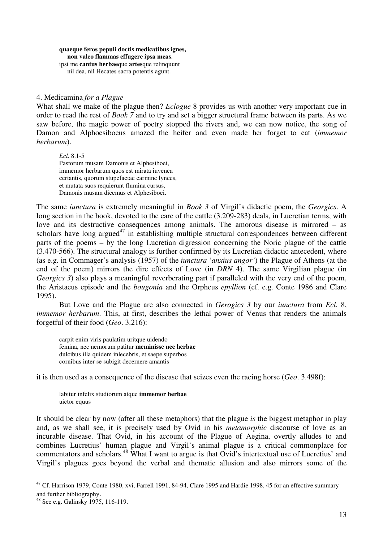**quaeque feros pepuli doctis medicatibus ignes, non valeo flammas effugere ipsa meas**. ipsi me **cantus herbae**que **artes**que relinquunt nil dea, nil Hecates sacra potentis agunt.

#### 4. Medicamina *for a Plague*

What shall we make of the plague then? *Eclogue* 8 provides us with another very important cue in order to read the rest of *Book 7* and to try and set a bigger structural frame between its parts. As we saw before, the magic power of poetry stopped the rivers and, we can now notice, the song of Damon and Alphoesiboeus amazed the heifer and even made her forget to eat (*immemor herbarum*).

*Ecl*. 8.1-5 Pastorum musam Damonis et Alphesiboei, immemor herbarum quos est mirata iuvenca certantis, quorum stupefactae carmine lynces, et mutata suos requierunt flumina cursus, Damonis musam dicemus et Alphesiboei.

The same *iunctura* is extremely meaningful in *Book 3* of Virgil's didactic poem, the *Georgics*. A long section in the book, devoted to the care of the cattle (3.209-283) deals, in Lucretian terms, with love and its destructive consequences among animals. The amorous disease is mirrored – as scholars have long argued<sup>47</sup> in establishing multiple structural correspondences between different parts of the poems – by the long Lucretian digression concerning the Noric plague of the cattle (3.470-566). The structural analogy is further confirmed by its Lucretian didactic antecedent, where (as e.g. in Commager's analysis (1957) of the *iunctura* '*anxius angor'*) the Plague of Athens (at the end of the poem) mirrors the dire effects of Love (in *DRN* 4). The same Virgilian plague (in *Georgics 3*) also plays a meaningful reverberating part if paralleled with the very end of the poem, the Aristaeus episode and the *bougonia* and the Orpheus *epyllion* (cf. e.g. Conte 1986 and Clare 1995).

 But Love and the Plague are also connected in *Gerogics 3* by our *iunctura* from *Ecl.* 8, *immemor herbarum*. This, at first, describes the lethal power of Venus that renders the animals forgetful of their food (*Geo*. 3.216):

carpit enim viris paulatim uritque uidendo femina, nec nemorum patitur **meminisse nec herbae** dulcibus illa quidem inlecebris, et saepe superbos cornibus inter se subigit decernere amantis

it is then used as a consequence of the disease that seizes even the racing horse (*Geo*. 3.498f):

labitur infelix studiorum atque **immemor herbae** uictor equus

It should be clear by now (after all these metaphors) that the plague *is* the biggest metaphor in play and, as we shall see, it is precisely used by Ovid in his *metamorphic* discourse of love as an incurable disease. That Ovid, in his account of the Plague of Aegina, overtly alludes to and combines Lucretius' human plague and Virgil's animal plague is a critical commonplace for commentators and scholars.<sup>48</sup> What I want to argue is that Ovid's intertextual use of Lucretius' and Virgil's plagues goes beyond the verbal and thematic allusion and also mirrors some of the

 $\overline{a}$  $47$  Cf. Harrison 1979, Conte 1980, xvi, Farrell 1991, 84-94, Clare 1995 and Hardie 1998, 45 for an effective summary and further bibliography.

<sup>48</sup> See e.g. Galinsky 1975, 116-119.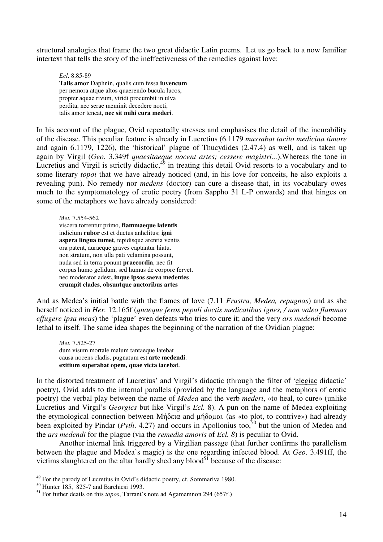structural analogies that frame the two great didactic Latin poems. Let us go back to a now familiar intertext that tells the story of the ineffectiveness of the remedies against love:

*Ecl*. 8.85-89 **Talis amor** Daphnin, qualis cum fessa **iuvencum**  per nemora atque altos quaerendo bucula lucos, propter aquae rivum, viridi procumbit in ulva perdita, nec serae meminit decedere nocti, talis amor teneat, **nec sit mihi cura mederi**.

In his account of the plague, Ovid repeatedly stresses and emphasises the detail of the incurability of the disease. This peculiar feature is already in Lucretius (6.1179 *mussabat tacito medicina timore* and again 6.1179, 1226), the 'historical' plague of Thucydides (2.47.4) as well, and is taken up again by Virgil (*Geo.* 3.349f *quaesitaeque nocent artes; cessere magistri...*).Whereas the tone in Lucretius and Virgil is strictly didactic, $4^9$  in treating this detail Ovid resorts to a vocabulary and to some literary *topoi* that we have already noticed (and, in his love for conceits, he also exploits a revealing pun). No remedy nor *medens* (doctor) can cure a disease that, in its vocabulary owes much to the symptomatology of erotic poetry (from Sappho 31 L-P onwards) and that hinges on some of the metaphors we have already considered:

*Met.* 7.554-562 viscera torrentur primo, **flammaeque latentis** indicium **rubor** est et ductus anhelitus; **igni aspera lingua tumet**, tepidisque arentia ventis ora patent, auraeque graves captantur hiatu. non stratum, non ulla pati velamina possunt, nuda sed in terra ponunt **praecordia**, nec fit corpus humo gelidum, sed humus de corpore fervet. nec moderator adest**, inque ipsos saeva medentes erumpit clades**, **obsuntque auctoribus artes**

And as Medea's initial battle with the flames of love (7.11 *Frustra, Medea, repugnas*) and as she herself noticed in *Her.* 12.165f (*quaeque feros pepuli doctis medicatibus ignes, / non valeo flammas effugere ipsa meas***)** the 'plague' even defeats who tries to cure it; and the very *ars medendi* become lethal to itself. The same idea shapes the beginning of the narration of the Ovidian plague:

*Met.* 7.525-27 dum visum mortale malum tantaeque latebat causa nocens cladis, pugnatum est **arte medendi**: **exitium superabat opem, quae victa iacebat**.

In the distorted treatment of Lucretius' and Virgil's didactic (through the filter of 'elegiac didactic' poetry), Ovid adds to the internal parallels (provided by the language and the metaphors of erotic poetry) the verbal play between the name of *Medea* and the verb *mederi*, «to heal, to cure» (unlike Lucretius and Virgil's *Georgics* but like Virgil's *Ecl.* 8). A pun on the name of Medea exploiting the etymological connection between Μήδεια and μήδομαι (as «to plot, to contrive») had already been exploited by Pindar (*Pyth.* 4.27) and occurs in Apollonius too,<sup>50</sup> but the union of Medea and the *ars medendi* for the plague (via the *remedia amoris* of *Ecl. 8*) is peculiar to Ovid.

 Another internal link triggered by a Virgilian passage (that further confirms the parallelism between the plague and Medea's magic) is the one regarding infected blood. At *Geo*. 3.491ff, the victims slaughtered on the altar hardly shed any blood<sup>51</sup> because of the disease:

 $49$  For the parody of Lucretius in Ovid's didactic poetry, cf. Sommariva 1980.

<sup>50</sup> Hunter 185, 825-7 and Barchiesi 1993.

<sup>51</sup> For futher deails on this *topos*, Tarrant's note ad Agamemnon 294 (657f.)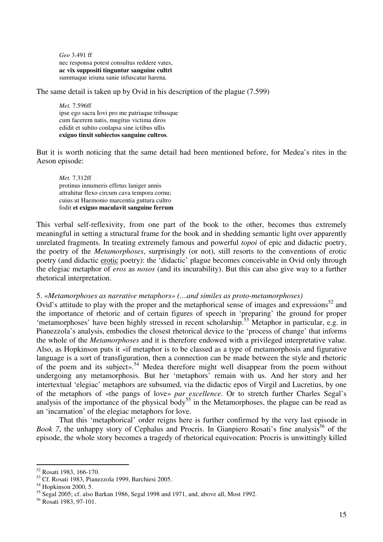*Geo* 3.491 ff nec responsa potest consultus reddere vates, **ac vix suppositi tinguntur sanguine cultri** summaque ieiuna sanie infuscatur harena.

The same detail is taken up by Ovid in his description of the plague (7.599)

*Met.* 7.596ff ipse ego sacra Iovi pro me patriaque tribusque cum facerem natis, mugitus victima diros edidit et subito conlapsa sine ictibus ullis **exiguo tinxit subiectos sanguine cultros**.

But it is worth noticing that the same detail had been mentioned before, for Medea's rites in the Aeson episode:

*Met.* 7.312ff protinus innumeris effetus laniger annis attrahitur flexo circum cava tempora cornu; cuius ut Haemonio marcentia guttura cultro fodit **et exiguo maculavit sanguine ferrum**

This verbal self-reflexivity, from one part of the book to the other, becomes thus extremely meaningful in setting a structural frame for the book and in shedding semantic light over apparently unrelated fragments. In treating extremely famous and powerful *topoi* of epic and didactic poetry, the poetry of the *Metamorphoses*, surprisingly (or not), still resorts to the conventions of erotic poetry (and didactic erotic poetry): the 'didactic' plague becomes conceivable in Ovid only through the elegiac metaphor of *eros* as *nosos* (and its incurability). But this can also give way to a further rhetorical interpretation.

# 5. «*Metamorphoses as narrative metaphors» (…and similes as proto-metamorphoses)*

Ovid's attitude to play with the proper and the metaphorical sense of images and expressions<sup>52</sup> and the importance of rhetoric and of certain figures of speech in 'preparing' the ground for proper 'metamorphoses' have been highly stressed in recent scholarship.<sup>53</sup> Metaphor in particular, e.g. in Pianezzola's analysis, embodies the closest rhetorical device to the 'process of change' that informs the whole of the *Metamorphoses* and it is therefore endowed with a privileged interpretative value. Also, as Hopkinson puts it «if metaphor is to be classed as a type of metamorphosis and figurative language is a sort of transfiguration, then a connection can be made between the style and rhetoric of the poem and its subject».<sup>54</sup> Medea therefore might well disappear from the poem without undergoing any metamorphosis. But her 'metaphors' remain with us. And her story and her intertextual 'elegiac' metaphors are subsumed, via the didactic epos of Virgil and Lucretius, by one of the metaphors of «the pangs of love» *par excellence*. Or to stretch further Charles Segal's analysis of the importance of the physical body<sup>55</sup> in the Metamorphoses, the plague can be read as an 'incarnation' of the elegiac metaphors for love.

 That this 'metaphorical' order reigns here is further confirmed by the very last episode in *Book 7*, the unhappy story of Cephalus and Procris. In Gianpiero Rosati's fine analysis<sup>56</sup> of the episode, the whole story becomes a tragedy of rhetorical equivocation: Procris is unwittingly killed

<sup>52</sup> Rosati 1983, 166-170.

<sup>53</sup> Cf. Rosati 1983, Pianezzola 1999, Barchiesi 2005.

<sup>54</sup> Hopkinson 2000, 5.

<sup>55</sup> Segal 2005; cf. also Barkan 1986, Segal 1998 and 1971, and, above all, Most 1992.

<sup>56</sup> Rosati 1983, 97-101.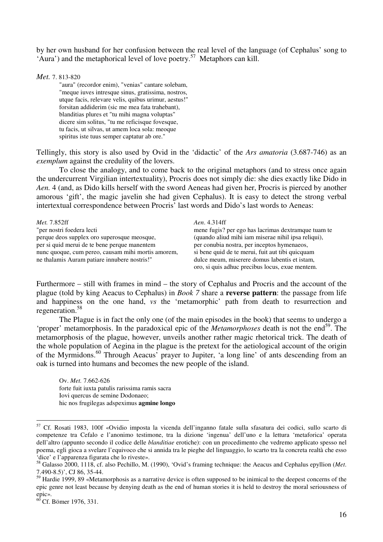by her own husband for her confusion between the real level of the language (of Cephalus' song to 'Aura') and the metaphorical level of love poetry.<sup>57</sup> Metaphors can kill.

*Met.* 7. 813-820

"aura" (recordor enim), "venias" cantare solebam, "meque iuves intresque sinus, gratissima, nostros, utque facis, relevare velis, quibus urimur, aestus!" forsitan addiderim (sic me mea fata trahebant), blanditias plures et "tu mihi magna voluptas" dicere sim solitus, "tu me reficisque fovesque, tu facis, ut silvas, ut amem loca sola: meoque spiritus iste tuus semper captatur ab ore."

Tellingly, this story is also used by Ovid in the 'didactic' of the *Ars amatoria* (3.687-746) as an *exemplum* against the credulity of the lovers.

To close the analogy, and to come back to the original metaphors (and to stress once again the undercurrent Virgilian intertextuality), Procris does not simply die: she dies exactly like Dido in *Aen.* 4 (and, as Dido kills herself with the sword Aeneas had given her, Procris is pierced by another amorous 'gift', the magic javelin she had given Cephalus). It is easy to detect the strong verbal intertextual correspondence between Procris' last words and Dido's last words to Aeneas:

| <i>Met.</i> 7.852ff                                | Aen. 4.314ff                                        |
|----------------------------------------------------|-----------------------------------------------------|
| "per nostri foedera lecti                          | mene fugis? per ego has lacrimas dextramque tuam te |
| perque deos supplex oro superosque meosque,        | (quando aliud mihi iam miserae nihil ipsa reliqui), |
| per si quid merui de te bene perque manentem       | per conubia nostra, per inceptos hymenaeos,         |
| nunc quoque, cum pereo, causam mihi mortis amorem, | si bene quid de te merui, fuit aut tibi quicquam    |
| ne thalamis Auram patiare innubere nostris!"       | dulce meum, miserere domus labentis et istam,       |
|                                                    | oro, si quis adhuc precibus locus, exue mentem.     |

Furthermore – still with frames in mind – the story of Cephalus and Procris and the account of the plague (told by king Aeacus to Cephalus) in *Book 7* share a **reverse pattern**: the passage from life and happiness on the one hand, *vs* the 'metamorphic' path from death to resurrection and regeneration.<sup>58</sup>

 The Plague is in fact the only one (of the main episodes in the book) that seems to undergo a 'proper' metamorphosis. In the paradoxical epic of the *Metamorphoses* death is not the end<sup>59</sup>. The metamorphosis of the plague, however, unveils another rather magic rhetorical trick. The death of the whole population of Aegina in the plague is the pretext for the aetiological account of the origin of the Myrmidons.<sup>60</sup> Through Aeacus' prayer to Jupiter, 'a long line' of ants descending from an oak is turned into humans and becomes the new people of the island.

Ov. *Met.* 7.662-626 forte fuit iuxta patulis rarissima ramis sacra Iovi quercus de semine Dodonaeo; hic nos frugilegas adspeximus **agmine longo**

<sup>57</sup> Cf. Rosati 1983, 100f «Ovidio imposta la vicenda dell'inganno fatale sulla sfasatura dei codici, sullo scarto di competenze tra Cefalo e l'anonimo testimone, tra la dizione 'ingenua' dell'uno e la lettura 'metaforica' operata dell'altro (appunto secondo il codice delle *blanditiae* erotiche): con un procedimento che vedremo applicato spesso nel poema, egli gioca a svelare l'equivoco che si annida tra le pieghe del linguaggio, lo scarto tra la concreta realtà che esso 'dice' e l'apparenza figurata che lo riveste».

<sup>58</sup> Galasso 2000, 1118, cf. also Pechillo, M. (1990), 'Ovid's framing technique: the Aeacus and Cephalus epyllion (*Met*. 7.490-8.5)', CJ 86, 35-44.

 $59$  Hardie 1999, 89 «Metamorphosis as a narrative device is often supposed to be inimical to the deepest concerns of the epic genre not least because by denying death as the end of human stories it is held to destroy the moral seriousness of epic».

 $^{60}$  Cf. Bömer 1976, 331.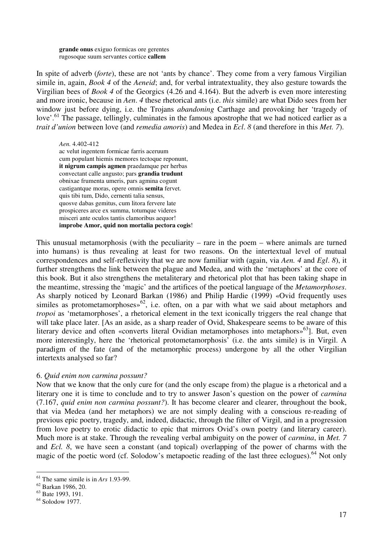**grande onus** exiguo formicas ore gerentes rugosoque suum servantes cortice **callem** 

In spite of adverb (*forte*), these are not 'ants by chance'. They come from a very famous Virgilian simile in, again, *Book 4* of the *Aeneid*; and, for verbal intratextuality, they also gesture towards the Virgilian bees of *Book 4* of the Georgics (4.26 and 4.164). But the adverb is even more interesting and more ironic, because in *Aen*. *4* these rhetorical ants (i.e. *this* simile) are what Dido sees from her window just before dying, i.e. the Trojans *abandoning* Carthage and provoking her 'tragedy of love'.<sup>61</sup> The passage, tellingly, culminates in the famous apostrophe that we had noticed earlier as a *trait d'union* between love (and *remedia amoris*) and Medea in *Ecl*. *8* (and therefore in this *Met. 7*).

*Aen.* 4.402-412 ac velut ingentem formicae farris aceruum cum populant hiemis memores tectoque reponunt, **it nigrum campis agmen** praedamque per herbas convectant calle angusto; pars **grandia trudunt** obnixae frumenta umeris, pars agmina cogunt castigantque moras, opere omnis **semita** fervet. quis tibi tum, Dido, cernenti talia sensus, quosve dabas gemitus, cum litora fervere late prospiceres arce ex summa, totumque videres misceri ante oculos tantis clamoribus aequor! **improbe Amor, quid non mortalia pectora cogis**!

This unusual metamorphosis (with the peculiarity – rare in the poem – where animals are turned into humans) is thus revealing at least for two reasons. On the intertextual level of mutual correspondences and self-reflexivity that we are now familiar with (again, via *Aen. 4* and *Egl*. *8*), it further strengthens the link between the plague and Medea, and with the 'metaphors' at the core of this book. But it also strengthens the metaliterary and rhetorical plot that has been taking shape in the meantime, stressing the 'magic' and the artifices of the poetical language of the *Metamorphoses*. As sharply noticed by Leonard Barkan (1986) and Philip Hardie (1999) «Ovid frequently uses similes as protometamorphoses» $62$ , i.e. often, on a par with what we said about metaphors and *tropoi* as 'metamorphoses', a rhetorical element in the text iconically triggers the real change that will take place later. [As an aside, as a sharp reader of Ovid, Shakespeare seems to be aware of this literary device and often «converts literal Ovidian metamorphoses into metaphors»<sup>63</sup>]. But, even more interestingly, here the 'rhetorical protometamorphosis' (i.e. the ants simile) is in Virgil. A paradigm of the fate (and of the metamorphic process) undergone by all the other Virgilian intertexts analysed so far?

## 6. *Quid enim non carmina possunt?*

Now that we know that the only cure for (and the only escape from) the plague is a rhetorical and a literary one it is time to conclude and to try to answer Jason's question on the power of *carmina*  (7.167, *quid enim non carmina possunt?*). It has become clearer and clearer, throughout the book, that via Medea (and her metaphors) we are not simply dealing with a conscious re-reading of previous epic poetry, tragedy, and, indeed, didactic, through the filter of Virgil, and in a progression from love poetry to erotic didactic to epic that mirrors Ovid's own poetry (and literary career). Much more is at stake. Through the revealing verbal ambiguity on the power of *carmina*, in *Met. 7* and *Ecl. 8*, we have seen a constant (and topical) overlapping of the power of charms with the magic of the poetic word (cf. Solodow's metapoetic reading of the last three eclogues).<sup>64</sup> Not only

<sup>61</sup> The same simile is in *Ars* 1.93-99.

<sup>62</sup> Barkan 1986, 20.

<sup>&</sup>lt;sup>63</sup> Bate 1993, 191.

<sup>64</sup> Solodow 1977.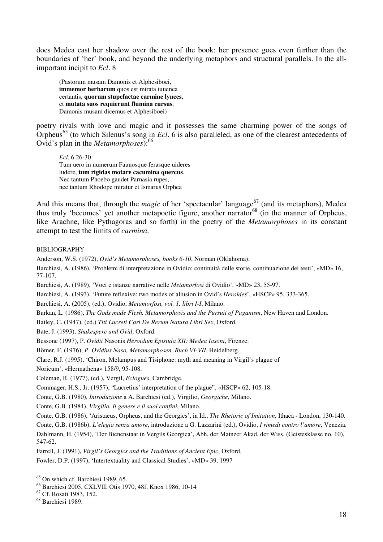does Medea cast her shadow over the rest of the book: her presence goes even further than the boundaries of 'her' book, and beyond the underlying metaphors and structural parallels. In the allimportant incipit to *Ecl*. 8

(Pastorum musam Damonis et Alphesiboei, **immemor herbarum** quos est mirata iuuenca certantis, **quorum stupefactae carmine lynces**, et **mutata suos requierunt flumina cursus**, Damonis musam dicemus et Alphesiboei)

poetry rivals with love and magic and it possesses the same charming power of the songs of Orpheus<sup>65</sup> (to which Silenus's song in *Ecl*. 6 is also paralleled, as one of the clearest antecedents of Ovid's plan in the *Metamorphoses*):<sup>66</sup>

*Ecl*. 6.26-30 Tum uero in numerum Faunosque ferasque uideres ludere, **tum rigidas motare cacumina quercus**. Nec tantum Phoebo gaudet Parnasia rupes, nec tantum Rhodope miratur et Ismarus Orphea

And this means that, through the *magic* of her 'spectacular' language<sup>67</sup> (and its metaphors), Medea thus truly 'becomes' yet another metapoetic figure, another narrator<sup>68</sup> (in the manner of Orpheus, like Arachne, like Pythagoras and so forth) in the poetry of the *Metamorphoses* in its constant attempt to test the limits of *carmina*.

#### BIBLIOGRAPHY

Anderson, W.S. (1972), *Ovid's Metamorphoses, books 6-10*, Norman (Oklahoma).

Barchiesi, A. (1986), 'Problemi di interpretazione in Ovidio: continuità delle storie, continuazione dei testi', «MD» 16, 77-107.

Barchiesi, A. (1989), 'Voci e istanze narrative nelle *Metamorfosi* di Ovidio', «MD» 23, 55-97.

Barchiesi, A. (1993), 'Future reflexive: two modes of allusion in Ovid's *Heroides*', «HSCP» 95, 333-365.

Barchiesi, A. (2005), (ed.), Ovidio, *Metamorfosi, vol. 1, libri I-I*, Milano.

Barkan, L. (1986), *The Gods made Flesh. Metamorphosis and the Pursuit of Paganism*, New Haven and London.

Bailey, C. (1947), (ed.) *Titi Lucreti Cari De Rerum Natura Libri Sex*, Oxford.

Bate, J. (1993), *Shakespere and Ovid*, Oxford.

Bessone (1997), P. *Ovidii* Nasonis *Heroidum Epistula XII: Medea Iasoni*, Firenze.

Bömer, F. (1976), *P. Ovidius Naso, Metamorphosen, Buch VI-VII*, Heidelberg.

Clare, R.J. (1995), 'Chiron, Melampus and Tisiphone: myth and meaning in Virgil's plague of

Noricum', «Hermathena» 158/9, 95-108.

Coleman, R. (1977), (ed.), Vergil, *Eclogues*, Cambridge.

Commager, H.S., Jr. (1957), "Lucretius' interpretation of the plague", «HSCP» 62, 105-18.

Conte, G.B. (1980), *Introduzione* a A. Barchiesi (ed.), Virgilio, *Georgiche*, Milano.

Conte, G.B. (1984), *Virgilio. Il genere e il suoi confini*, Milano.

Conte, G.B. (1986), 'Aristaeus, Orpheus, and the Georgics', in Id., *The Rhetoric of Imitation*, Ithaca - London, 130-140.

Conte, G.B. (1986b), *L'elegia senza amore*, introduzione a G. Lazzarini (ed.), Ovidio, *I rimedi contro l'amore*, Venezia. Dahlmann, H. (1954), 'Der Bienenstaat in Vergils Georgica', Abh. der Mainzer Akad. der Wiss. (Geistesklasse no. 10), 547-62.

Farrell, J. (1991), *Virgil's Georgics and the Traditions of Ancient Epic*, Oxford. Fowler, D.P. (1997), 'Intertextuality and Classical Studies', «MD» 39, 1997

<sup>&</sup>lt;sup>65</sup> On which cf. Barchiesi 1989, 65.

<sup>66</sup> Barchiesi 2005, CXLVII, Otis 1970, 48f, Knox 1986, 10-14

<sup>67</sup> Cf. Rosati 1983, 152.

<sup>68</sup> Barchiesi 1989.